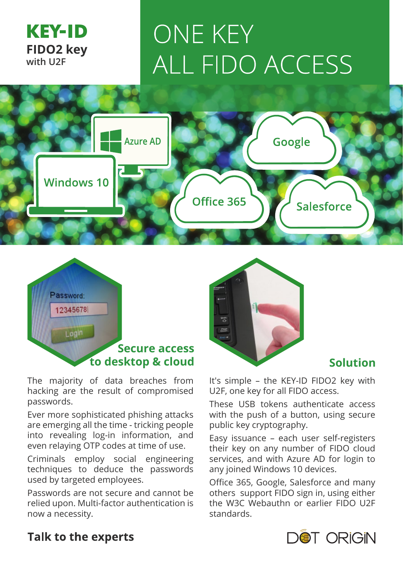

# **ONE KEY ALL FIDO ACCESS**



## Password: 12345678 Login **Secure access**

The majority of data breaches from hacking are the result of compromised passwords.

Ever more sophisticated phishing attacks are emerging all the time - tricking people into revealing log-in information, and even relaying OTP codes at time of use.

Criminals employ social engineering techniques to deduce the passwords used by targeted employees.

Passwords are not secure and cannot be relied upon. Multi-factor authentication is now a necessity.



It's simple – the KEY-ID FIDO2 key with U2F, one key for all FIDO access.

These USB tokens authenticate access with the push of a button, using secure public key cryptography.

Easy issuance – each user self-registers their key on any number of FIDO cloud services, and with Azure AD for login to any joined Windows 10 devices.

Office 365, Google, Salesforce and many others support FIDO sign in, using either the W3C Webauthn or earlier FIDO U2F standards.

### DOT ORIGIN

#### **Talk to the experts**